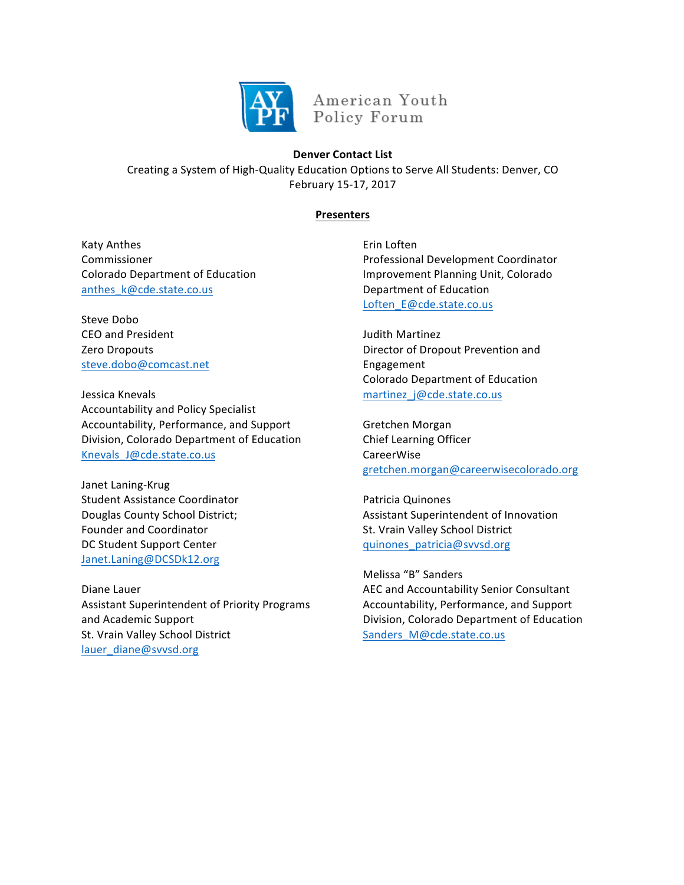

American Youth Policy Forum

## **Denver Contact List**

Creating a System of High-Quality Education Options to Serve All Students: Denver, CO February 15-17, 2017

## **Presenters**

Katy Anthes Commissioner Colorado Department of Education anthes\_k@cde.state.co.us

Steve Dobo CEO and President Zero Dropouts steve.dobo@comcast.net

Jessica Knevals Accountability and Policy Specialist Accountability, Performance, and Support Division, Colorado Department of Education Knevals\_J@cde.state.co.us

Janet Laning-Krug Student Assistance Coordinator Douglas County School District; Founder and Coordinator DC Student Support Center Janet.Laning@DCSDk12.org

Diane Lauer Assistant Superintendent of Priority Programs and Academic Support St. Vrain Valley School District lauer\_diane@svvsd.org

Erin Loften Professional Development Coordinator Improvement Planning Unit, Colorado Department of Education Loften\_E@cde.state.co.us

Judith Martinez Director of Dropout Prevention and Engagement Colorado Department of Education martinez j@cde.state.co.us

Gretchen Morgan Chief Learning Officer CareerWise gretchen.morgan@careerwisecolorado.org 

Patricia Quinones Assistant Superintendent of Innovation St. Vrain Valley School District quinones\_patricia@svvsd.org

Melissa "B" Sanders AEC and Accountability Senior Consultant Accountability, Performance, and Support Division, Colorado Department of Education Sanders\_M@cde.state.co.us